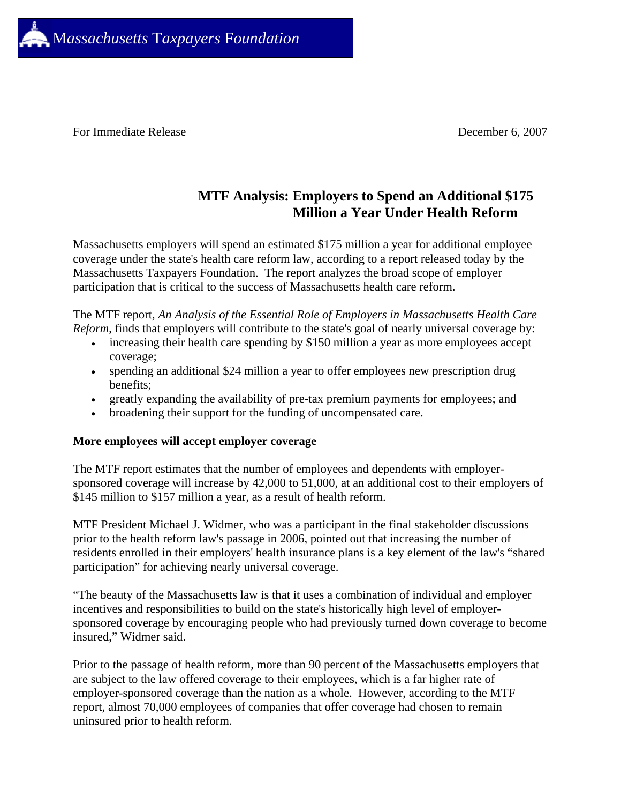

For Immediate Release December 6, 2007

# **MTF Analysis: Employers to Spend an Additional \$175 Million a Year Under Health Reform**

Massachusetts employers will spend an estimated \$175 million a year for additional employee coverage under the state's health care reform law, according to a report released today by the Massachusetts Taxpayers Foundation. The report analyzes the broad scope of employer participation that is critical to the success of Massachusetts health care reform.

The MTF report, *An Analysis of the Essential Role of Employers in Massachusetts Health Care Reform*, finds that employers will contribute to the state's goal of nearly universal coverage by:

- increasing their health care spending by \$150 million a year as more employees accept coverage;
- spending an additional \$24 million a year to offer employees new prescription drug benefits;
- greatly expanding the availability of pre-tax premium payments for employees; and
- broadening their support for the funding of uncompensated care.

# **More employees will accept employer coverage**

The MTF report estimates that the number of employees and dependents with employersponsored coverage will increase by 42,000 to 51,000, at an additional cost to their employers of \$145 million to \$157 million a year, as a result of health reform.

MTF President Michael J. Widmer, who was a participant in the final stakeholder discussions prior to the health reform law's passage in 2006, pointed out that increasing the number of residents enrolled in their employers' health insurance plans is a key element of the law's "shared participation" for achieving nearly universal coverage.

"The beauty of the Massachusetts law is that it uses a combination of individual and employer incentives and responsibilities to build on the state's historically high level of employersponsored coverage by encouraging people who had previously turned down coverage to become insured," Widmer said.

Prior to the passage of health reform, more than 90 percent of the Massachusetts employers that are subject to the law offered coverage to their employees, which is a far higher rate of employer-sponsored coverage than the nation as a whole. However, according to the MTF report, almost 70,000 employees of companies that offer coverage had chosen to remain uninsured prior to health reform.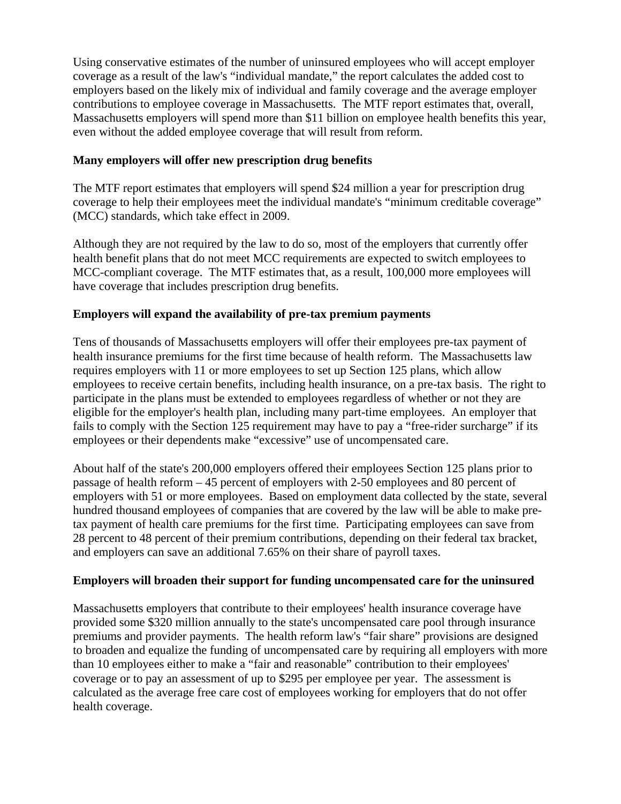Using conservative estimates of the number of uninsured employees who will accept employer coverage as a result of the law's "individual mandate," the report calculates the added cost to employers based on the likely mix of individual and family coverage and the average employer contributions to employee coverage in Massachusetts. The MTF report estimates that, overall, Massachusetts employers will spend more than \$11 billion on employee health benefits this year, even without the added employee coverage that will result from reform.

### **Many employers will offer new prescription drug benefits**

The MTF report estimates that employers will spend \$24 million a year for prescription drug coverage to help their employees meet the individual mandate's "minimum creditable coverage" (MCC) standards, which take effect in 2009.

Although they are not required by the law to do so, most of the employers that currently offer health benefit plans that do not meet MCC requirements are expected to switch employees to MCC-compliant coverage. The MTF estimates that, as a result, 100,000 more employees will have coverage that includes prescription drug benefits.

#### **Employers will expand the availability of pre-tax premium payments**

Tens of thousands of Massachusetts employers will offer their employees pre-tax payment of health insurance premiums for the first time because of health reform. The Massachusetts law requires employers with 11 or more employees to set up Section 125 plans, which allow employees to receive certain benefits, including health insurance, on a pre-tax basis. The right to participate in the plans must be extended to employees regardless of whether or not they are eligible for the employer's health plan, including many part-time employees. An employer that fails to comply with the Section 125 requirement may have to pay a "free-rider surcharge" if its employees or their dependents make "excessive" use of uncompensated care.

About half of the state's 200,000 employers offered their employees Section 125 plans prior to passage of health reform – 45 percent of employers with 2-50 employees and 80 percent of employers with 51 or more employees. Based on employment data collected by the state, several hundred thousand employees of companies that are covered by the law will be able to make pretax payment of health care premiums for the first time. Participating employees can save from 28 percent to 48 percent of their premium contributions, depending on their federal tax bracket, and employers can save an additional 7.65% on their share of payroll taxes.

# **Employers will broaden their support for funding uncompensated care for the uninsured**

Massachusetts employers that contribute to their employees' health insurance coverage have provided some \$320 million annually to the state's uncompensated care pool through insurance premiums and provider payments. The health reform law's "fair share" provisions are designed to broaden and equalize the funding of uncompensated care by requiring all employers with more than 10 employees either to make a "fair and reasonable" contribution to their employees' coverage or to pay an assessment of up to \$295 per employee per year. The assessment is calculated as the average free care cost of employees working for employers that do not offer health coverage.